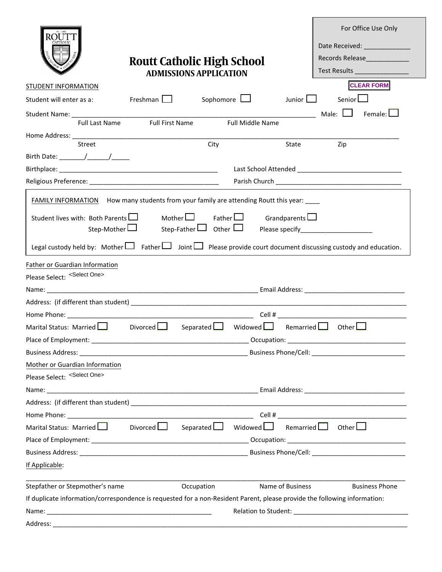|                                                                                                                                                                                                                                |                                                                    |                                                 |             |                                 | For Office Use Only                          |  |  |
|--------------------------------------------------------------------------------------------------------------------------------------------------------------------------------------------------------------------------------|--------------------------------------------------------------------|-------------------------------------------------|-------------|---------------------------------|----------------------------------------------|--|--|
|                                                                                                                                                                                                                                |                                                                    |                                                 |             |                                 |                                              |  |  |
|                                                                                                                                                                                                                                |                                                                    |                                                 |             |                                 | Records Release                              |  |  |
|                                                                                                                                                                                                                                | <b>Routt Catholic High School</b><br><b>ADMISSIONS APPLICATION</b> |                                                 |             | Test Results __________________ |                                              |  |  |
| <b>STUDENT INFORMATION</b>                                                                                                                                                                                                     |                                                                    |                                                 |             |                                 | <b>CLEAR FORM</b>                            |  |  |
| Student will enter as a:                                                                                                                                                                                                       | Freshman $\Box$                                                    | Sophomore $\Box$                                |             | Junior $\Box$                   | Senior <sub>L</sub>                          |  |  |
|                                                                                                                                                                                                                                |                                                                    |                                                 |             |                                 | Male: <b>National</b><br>Female: $\bigsqcup$ |  |  |
|                                                                                                                                                                                                                                | Full Last Name Full First Name                                     | Full Middle Name                                |             |                                 |                                              |  |  |
|                                                                                                                                                                                                                                |                                                                    | City                                            |             |                                 |                                              |  |  |
| Street                                                                                                                                                                                                                         |                                                                    |                                                 |             | State                           | Zip                                          |  |  |
|                                                                                                                                                                                                                                |                                                                    |                                                 |             |                                 |                                              |  |  |
|                                                                                                                                                                                                                                |                                                                    |                                                 |             |                                 |                                              |  |  |
|                                                                                                                                                                                                                                |                                                                    |                                                 |             |                                 |                                              |  |  |
| FAMILY INFORMATION How many students from your family are attending Routt this year: ___                                                                                                                                       |                                                                    |                                                 |             |                                 |                                              |  |  |
| Student lives with: Both Parents                                                                                                                                                                                               |                                                                    | Mother $\Box$ Father $\Box$ Grandparents $\Box$ |             |                                 |                                              |  |  |
| Step-Mother L                                                                                                                                                                                                                  |                                                                    |                                                 |             |                                 |                                              |  |  |
| Legal custody held by: Mother $\Box$ Father $\Box$ Joint $\Box$ Please provide court document discussing custody and education.                                                                                                |                                                                    |                                                 |             |                                 |                                              |  |  |
| Father or Guardian Information                                                                                                                                                                                                 |                                                                    |                                                 |             |                                 |                                              |  |  |
| Please Select: <select one=""></select>                                                                                                                                                                                        |                                                                    |                                                 |             |                                 |                                              |  |  |
|                                                                                                                                                                                                                                |                                                                    |                                                 |             |                                 |                                              |  |  |
|                                                                                                                                                                                                                                |                                                                    |                                                 |             |                                 |                                              |  |  |
| Home Phone: the contract of the contract of the contract of the contract of the contract of the contract of the contract of the contract of the contract of the contract of the contract of the contract of the contract of th |                                                                    |                                                 |             |                                 |                                              |  |  |
| Marital Status: Married Later                                                                                                                                                                                                  | Divorced $\Box$                                                    | Separated Widowed                               |             |                                 | Remarried $\Box$ Other $\Box$                |  |  |
| Place of Employment:                                                                                                                                                                                                           |                                                                    |                                                 | Occupation: |                                 |                                              |  |  |
|                                                                                                                                                                                                                                |                                                                    |                                                 |             |                                 |                                              |  |  |
| Mother or Guardian Information                                                                                                                                                                                                 |                                                                    |                                                 |             |                                 |                                              |  |  |
| Please Select: <select one=""></select>                                                                                                                                                                                        |                                                                    |                                                 |             |                                 |                                              |  |  |
|                                                                                                                                                                                                                                |                                                                    |                                                 |             |                                 |                                              |  |  |
|                                                                                                                                                                                                                                |                                                                    |                                                 |             |                                 |                                              |  |  |
|                                                                                                                                                                                                                                |                                                                    |                                                 |             |                                 |                                              |  |  |
| Marital Status: Married $\Box$ Divorced $\Box$ Separated $\Box$ Widowed $\Box$                                                                                                                                                 |                                                                    |                                                 |             |                                 | Remarried $\Box$ Other $\Box$                |  |  |
|                                                                                                                                                                                                                                |                                                                    |                                                 |             |                                 |                                              |  |  |
|                                                                                                                                                                                                                                |                                                                    |                                                 |             |                                 |                                              |  |  |
| If Applicable:                                                                                                                                                                                                                 |                                                                    |                                                 |             |                                 |                                              |  |  |
| Stepfather or Stepmother's name                                                                                                                                                                                                |                                                                    | Occupation                                      |             | Name of Business                | <b>Business Phone</b>                        |  |  |
| If duplicate information/correspondence is requested for a non-Resident Parent, please provide the following information:                                                                                                      |                                                                    |                                                 |             |                                 |                                              |  |  |
|                                                                                                                                                                                                                                |                                                                    |                                                 |             |                                 |                                              |  |  |
|                                                                                                                                                                                                                                |                                                                    |                                                 |             |                                 |                                              |  |  |